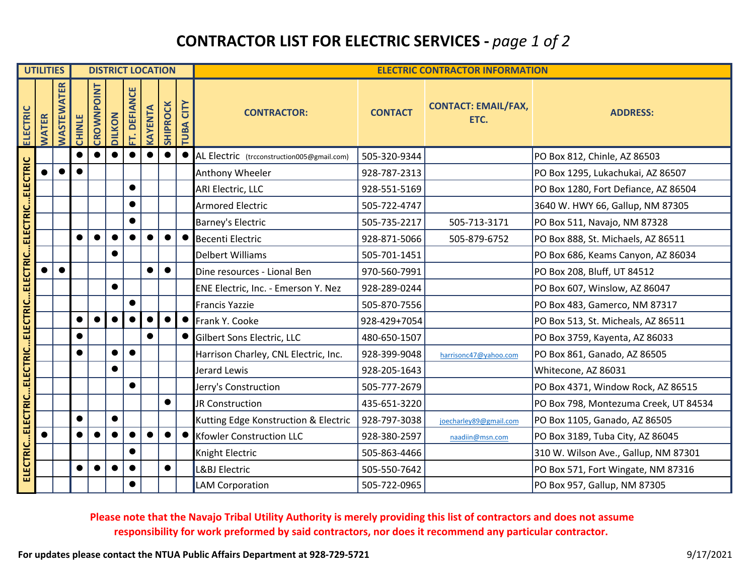# **CONTRACTOR LIST FOR ELECTRIC SERVICES ‐** *page 1 of 2*

|                                                          | <b>UTILITIES</b> |            |               | <b>DISTRICT LOCATION</b> |               |              |         |                 |                             | <b>ELECTRIC CONTRACTOR INFORMATION</b>     |                |                                    |                                       |
|----------------------------------------------------------|------------------|------------|---------------|--------------------------|---------------|--------------|---------|-----------------|-----------------------------|--------------------------------------------|----------------|------------------------------------|---------------------------------------|
| <b>ELECTRIC</b>                                          | <b>WATER</b>     | WASTEWATER | <b>CHINLE</b> | CROWNPOINT               | <b>DILKON</b> | FT. DEFIANCE | KAYENTA | <b>SHIPROCK</b> | CITY<br>B <sub>A</sub><br>큳 | <b>CONTRACTOR:</b>                         | <b>CONTACT</b> | <b>CONTACT: EMAIL/FAX,</b><br>ETC. | <b>ADDRESS:</b>                       |
|                                                          |                  |            | $\bullet$     |                          |               |              |         | $\bullet$       | $\bullet$                   | AL Electric (trcconstruction005@gmail.com) | 505-320-9344   |                                    | PO Box 812, Chinle, AZ 86503          |
|                                                          |                  | $\bullet$  | $\bullet$     |                          |               |              |         |                 |                             | Anthony Wheeler                            | 928-787-2313   |                                    | PO Box 1295, Lukachukai, AZ 86507     |
|                                                          |                  |            |               |                          |               |              |         |                 |                             | ARI Electric, LLC                          | 928-551-5169   |                                    | PO Box 1280, Fort Defiance, AZ 86504  |
|                                                          |                  |            |               |                          |               |              |         |                 |                             | <b>Armored Electric</b>                    | 505-722-4747   |                                    | 3640 W. HWY 66, Gallup, NM 87305      |
|                                                          |                  |            |               |                          |               |              |         |                 |                             | <b>Barney's Electric</b>                   | 505-735-2217   | 505-713-3171                       | PO Box 511, Navajo, NM 87328          |
|                                                          |                  |            | $\bullet$     | $\bullet$                | $\bullet$     |              |         | $\bullet$       | $\bullet$                   | <b>Becenti Electric</b>                    | 928-871-5066   | 505-879-6752                       | PO Box 888, St. Michaels, AZ 86511    |
|                                                          |                  |            |               |                          | $\bullet$     |              |         |                 |                             | <b>Delbert Williams</b>                    | 505-701-1451   |                                    | PO Box 686, Keams Canyon, AZ 86034    |
|                                                          |                  |            |               |                          |               |              |         | $\bullet$       |                             | Dine resources - Lional Ben                | 970-560-7991   |                                    | PO Box 208, Bluff, UT 84512           |
|                                                          |                  |            |               |                          | $\bullet$     |              |         |                 |                             | ENE Electric, Inc. - Emerson Y. Nez        | 928-289-0244   |                                    | PO Box 607, Winslow, AZ 86047         |
|                                                          |                  |            |               |                          |               |              |         |                 |                             | Francis Yazzie                             | 505-870-7556   |                                    | PO Box 483, Gamerco, NM 87317         |
|                                                          |                  |            |               | $\bullet$                | $\bullet$     |              |         | $\bullet$       | $\bullet$                   | Frank Y. Cooke                             | 928-429+7054   |                                    | PO Box 513, St. Micheals, AZ 86511    |
|                                                          |                  |            |               |                          |               |              |         |                 |                             | Gilbert Sons Electric, LLC                 | 480-650-1507   |                                    | PO Box 3759, Kayenta, AZ 86033        |
|                                                          |                  |            |               |                          | $\bullet$     | $\bullet$    |         |                 |                             | Harrison Charley, CNL Electric, Inc.       | 928-399-9048   | harrisonc47@yahoo.com              | PO Box 861, Ganado, AZ 86505          |
|                                                          |                  |            |               |                          | $\bullet$     |              |         |                 |                             | Jerard Lewis                               | 928-205-1643   |                                    | Whitecone, AZ 86031                   |
|                                                          |                  |            |               |                          |               |              |         |                 |                             | Jerry's Construction                       | 505-777-2679   |                                    | PO Box 4371, Window Rock, AZ 86515    |
|                                                          |                  |            |               |                          |               |              |         | $\bullet$       |                             | JR Construction                            | 435-651-3220   |                                    | PO Box 798, Montezuma Creek, UT 84534 |
|                                                          |                  |            | $\bullet$     |                          | $\bullet$     |              |         |                 |                             | Kutting Edge Konstruction & Electric       | 928-797-3038   | joecharley89@gmail.com             | PO Box 1105, Ganado, AZ 86505         |
|                                                          |                  |            |               | $\bullet$                |               |              |         | $\bullet$       |                             | <b>Kfowler Construction LLC</b>            | 928-380-2597   | naadiin@msn.com                    | PO Box 3189, Tuba City, AZ 86045      |
| ELECTRICELECTRICELECTRICELECTRICELECTRICELECTRICELECTRIC |                  |            |               |                          |               |              |         |                 |                             | Knight Electric                            | 505-863-4466   |                                    | 310 W. Wilson Ave., Gallup, NM 87301  |
|                                                          |                  |            |               | $\bullet$                |               |              |         | $\bullet$       |                             | L&BJ Electric                              | 505-550-7642   |                                    | PO Box 571, Fort Wingate, NM 87316    |
|                                                          |                  |            |               |                          |               |              |         |                 |                             | <b>LAM Corporation</b>                     | 505-722-0965   |                                    | PO Box 957, Gallup, NM 87305          |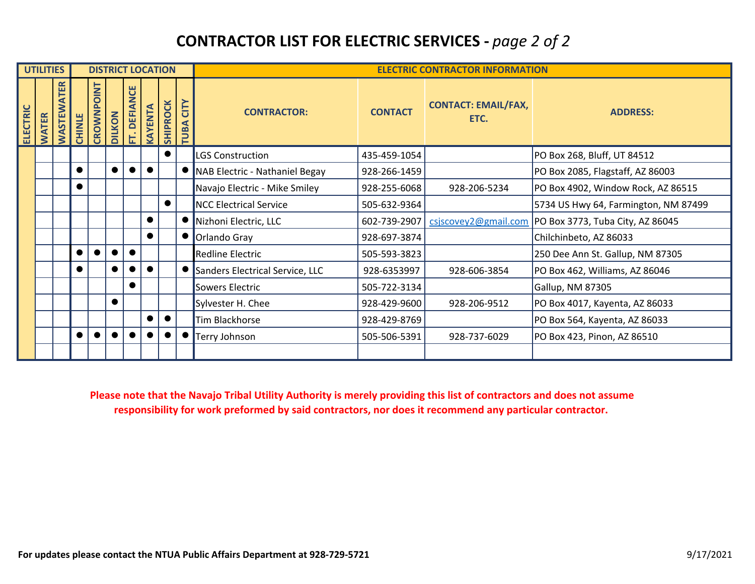# **CONTRACTOR LIST FOR ELECTRIC SERVICES ‐** *page 2 of 2*

| <b>UTILITIES</b>                |                       |               | <b>DISTRICT LOCATION</b>     |           |                 |                       |                 |                              |                                 | <b>ELECTRIC CONTRACTOR INFORMATION</b> |                                    |                                      |  |
|---------------------------------|-----------------------|---------------|------------------------------|-----------|-----------------|-----------------------|-----------------|------------------------------|---------------------------------|----------------------------------------|------------------------------------|--------------------------------------|--|
| <b>ELECTRIC</b><br><b>WATER</b> | <b>ATER</b><br>WASTEW | <b>CHINLE</b> | <b>TNIO</b><br><b>CROWNP</b> | LKON      | <b>DEFIANCE</b> | <b><i>CAYENTA</i></b> | <b>SHIPROCK</b> | CITY<br>$B\overline{A}$<br>큰 | <b>CONTRACTOR:</b>              | <b>CONTACT</b>                         | <b>CONTACT: EMAIL/FAX,</b><br>ETC. | <b>ADDRESS:</b>                      |  |
|                                 |                       |               |                              |           |                 |                       |                 |                              | LGS Construction                | 435-459-1054                           |                                    | PO Box 268, Bluff, UT 84512          |  |
|                                 |                       | $\bullet$     |                              |           |                 |                       |                 |                              | NAB Electric - Nathaniel Begay  | 928-266-1459                           |                                    | PO Box 2085, Flagstaff, AZ 86003     |  |
|                                 |                       | $\bullet$     |                              |           |                 |                       |                 |                              | Navajo Electric - Mike Smiley   | 928-255-6068                           | 928-206-5234                       | PO Box 4902, Window Rock, AZ 86515   |  |
|                                 |                       |               |                              |           |                 |                       | $\bullet$       |                              | <b>NCC Electrical Service</b>   | 505-632-9364                           |                                    | 5734 US Hwy 64, Farmington, NM 87499 |  |
|                                 |                       |               |                              |           |                 | $\bullet$             |                 |                              | Nizhoni Electric, LLC           | 602-739-2907                           | csjscovey2@gmail.com               | PO Box 3773, Tuba City, AZ 86045     |  |
|                                 |                       |               |                              |           |                 | $\bullet$             |                 |                              | Orlando Gray                    | 928-697-3874                           |                                    | Chilchinbeto, AZ 86033               |  |
|                                 |                       | $\bullet$     |                              | $\bullet$ | $\bullet$       |                       |                 |                              | <b>Redline Electric</b>         | 505-593-3823                           |                                    | 250 Dee Ann St. Gallup, NM 87305     |  |
|                                 |                       | $\bullet$     |                              |           |                 |                       |                 |                              | Sanders Electrical Service, LLC | 928-6353997                            | 928-606-3854                       | PO Box 462, Williams, AZ 86046       |  |
|                                 |                       |               |                              |           | $\bullet$       |                       |                 |                              | Sowers Electric                 | 505-722-3134                           |                                    | Gallup, NM 87305                     |  |
|                                 |                       |               |                              | $\bullet$ |                 |                       |                 |                              | Sylvester H. Chee               | 928-429-9600                           | 928-206-9512                       | PO Box 4017, Kayenta, AZ 86033       |  |
|                                 |                       |               |                              |           |                 |                       |                 |                              | Tim Blackhorse                  | 928-429-8769                           |                                    | PO Box 564, Kayenta, AZ 86033        |  |
|                                 |                       | $\bullet$     |                              |           |                 |                       |                 |                              | Terry Johnson                   | 505-506-5391                           | 928-737-6029                       | PO Box 423, Pinon, AZ 86510          |  |
|                                 |                       |               |                              |           |                 |                       |                 |                              |                                 |                                        |                                    |                                      |  |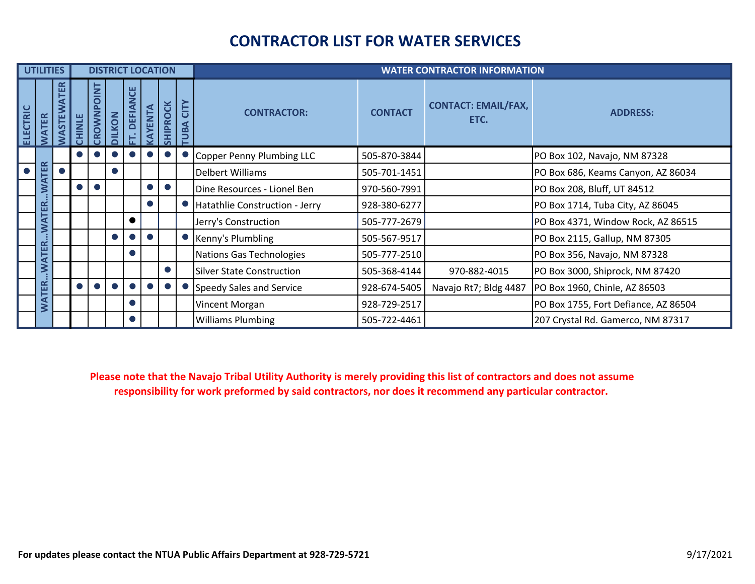#### **CONTRACTOR LIST FOR WATER SERVICES**

|           | <b>UTILITIES</b> |                 |             |                              |           |                    |                | <b>DISTRICT LOCATION</b> |                      | <b>WATER CONTRACTOR INFORMATION</b> |                |                                    |                                      |
|-----------|------------------|-----------------|-------------|------------------------------|-----------|--------------------|----------------|--------------------------|----------------------|-------------------------------------|----------------|------------------------------------|--------------------------------------|
| ELECTRIC  | <b>WATER</b>     | 띥<br><b>STE</b> | <b>INLE</b> | <u>h</u><br>이<br><b>DWND</b> | KON       | ਹ<br><b>DEFIAI</b> | <b>CAYENTA</b> | <b>IIPROCK</b>           | CITY<br>$\mathbf{g}$ | <b>CONTRACTOR:</b>                  | <b>CONTACT</b> | <b>CONTACT: EMAIL/FAX,</b><br>ETC. | <b>ADDRESS:</b>                      |
|           |                  |                 |             |                              |           |                    |                |                          |                      | Copper Penny Plumbing LLC           | 505-870-3844   |                                    | PO Box 102, Navajo, NM 87328         |
| $\bullet$ | <b>TER</b>       |                 |             |                              | $\bullet$ |                    |                |                          |                      | Delbert Williams                    | 505-701-1451   |                                    | PO Box 686, Keams Canyon, AZ 86034   |
|           | ⋖<br>℥           |                 |             |                              |           |                    |                |                          |                      | Dine Resources - Lionel Ben         | 970-560-7991   |                                    | PO Box 208, Bluff, UT 84512          |
|           | 띥                |                 |             |                              |           |                    |                |                          |                      | Hatathlie Construction - Jerry      | 928-380-6277   |                                    | PO Box 1714, Tuba City, AZ 86045     |
|           | Š                |                 |             |                              |           | $\bullet$          |                |                          |                      | Jerry's Construction                | 505-777-2679   |                                    | PO Box 4371, Window Rock, AZ 86515   |
|           | R                |                 |             |                              |           |                    |                |                          |                      | Kenny's Plumbling                   | 505-567-9517   |                                    | PO Box 2115, Gallup, NM 87305        |
|           | <b>ATE</b>       |                 |             |                              |           | $\bullet$          |                |                          |                      | Nations Gas Technologies            | 505-777-2510   |                                    | PO Box 356, Navajo, NM 87328         |
|           | ≶                |                 |             |                              |           |                    |                |                          |                      | <b>Silver State Construction</b>    | 505-368-4144   | 970-882-4015                       | PO Box 3000, Shiprock, NM 87420      |
|           | <b>TER</b>       |                 |             |                              |           |                    |                |                          |                      | Speedy Sales and Service            | 928-674-5405   | Navajo Rt7; Bldg 4487              | PO Box 1960, Chinle, AZ 86503        |
|           | S                |                 |             |                              |           | $\bullet$          |                |                          |                      | Vincent Morgan                      | 928-729-2517   |                                    | PO Box 1755, Fort Defiance, AZ 86504 |
|           |                  |                 |             |                              |           | $\bullet$          |                |                          |                      | <b>Williams Plumbing</b>            | 505-722-4461   |                                    | 207 Crystal Rd. Gamerco, NM 87317    |